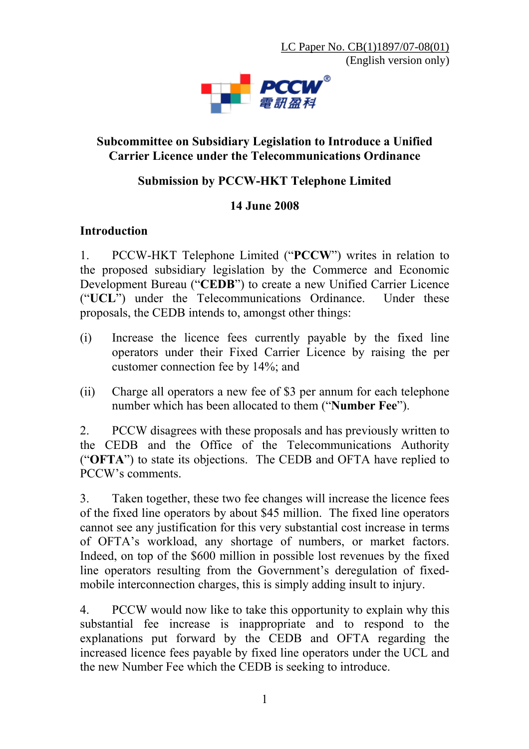LC Paper No. CB(1)1897/07-08(01) (English version only)



#### **Subcommittee on Subsidiary Legislation to Introduce a Unified Carrier Licence under the Telecommunications Ordinance**

## **Submission by PCCW-HKT Telephone Limited**

#### **14 June 2008**

#### **Introduction**

1. PCCW-HKT Telephone Limited ("**PCCW**") writes in relation to the proposed subsidiary legislation by the Commerce and Economic Development Bureau ("**CEDB**") to create a new Unified Carrier Licence ("**UCL**") under the Telecommunications Ordinance. Under these proposals, the CEDB intends to, amongst other things:

- (i) Increase the licence fees currently payable by the fixed line operators under their Fixed Carrier Licence by raising the per customer connection fee by 14%; and
- (ii) Charge all operators a new fee of \$3 per annum for each telephone number which has been allocated to them ("**Number Fee**").

2. PCCW disagrees with these proposals and has previously written to the CEDB and the Office of the Telecommunications Authority ("**OFTA**") to state its objections. The CEDB and OFTA have replied to PCCW's comments.

3. Taken together, these two fee changes will increase the licence fees of the fixed line operators by about \$45 million. The fixed line operators cannot see any justification for this very substantial cost increase in terms of OFTA's workload, any shortage of numbers, or market factors. Indeed, on top of the \$600 million in possible lost revenues by the fixed line operators resulting from the Government's deregulation of fixedmobile interconnection charges, this is simply adding insult to injury.

4. PCCW would now like to take this opportunity to explain why this substantial fee increase is inappropriate and to respond to the explanations put forward by the CEDB and OFTA regarding the increased licence fees payable by fixed line operators under the UCL and the new Number Fee which the CEDB is seeking to introduce.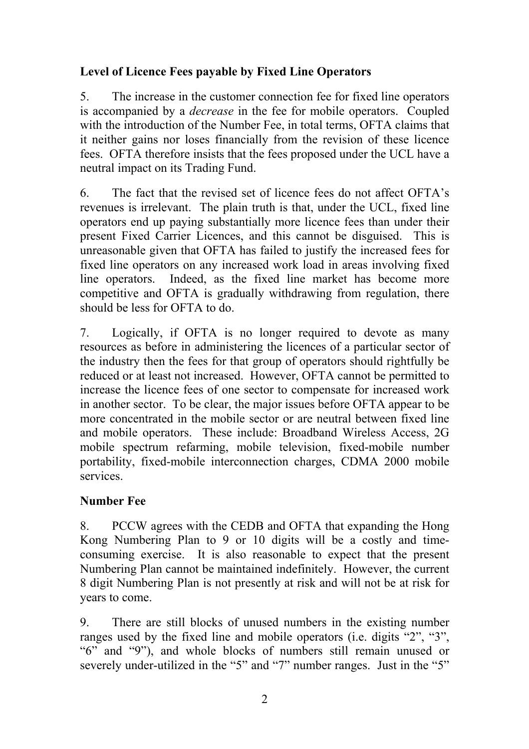# **Level of Licence Fees payable by Fixed Line Operators**

5. The increase in the customer connection fee for fixed line operators is accompanied by a *decrease* in the fee for mobile operators. Coupled with the introduction of the Number Fee, in total terms, OFTA claims that it neither gains nor loses financially from the revision of these licence fees. OFTA therefore insists that the fees proposed under the UCL have a neutral impact on its Trading Fund.

6. The fact that the revised set of licence fees do not affect OFTA's revenues is irrelevant. The plain truth is that, under the UCL, fixed line operators end up paying substantially more licence fees than under their present Fixed Carrier Licences, and this cannot be disguised. This is unreasonable given that OFTA has failed to justify the increased fees for fixed line operators on any increased work load in areas involving fixed line operators. Indeed, as the fixed line market has become more competitive and OFTA is gradually withdrawing from regulation, there should be less for OFTA to do.

7. Logically, if OFTA is no longer required to devote as many resources as before in administering the licences of a particular sector of the industry then the fees for that group of operators should rightfully be reduced or at least not increased. However, OFTA cannot be permitted to increase the licence fees of one sector to compensate for increased work in another sector. To be clear, the major issues before OFTA appear to be more concentrated in the mobile sector or are neutral between fixed line and mobile operators. These include: Broadband Wireless Access, 2G mobile spectrum refarming, mobile television, fixed-mobile number portability, fixed-mobile interconnection charges, CDMA 2000 mobile services.

# **Number Fee**

8. PCCW agrees with the CEDB and OFTA that expanding the Hong Kong Numbering Plan to 9 or 10 digits will be a costly and timeconsuming exercise. It is also reasonable to expect that the present Numbering Plan cannot be maintained indefinitely. However, the current 8 digit Numbering Plan is not presently at risk and will not be at risk for years to come.

9. There are still blocks of unused numbers in the existing number ranges used by the fixed line and mobile operators (i.e. digits "2", "3", "6" and "9"), and whole blocks of numbers still remain unused or severely under-utilized in the "5" and "7" number ranges. Just in the "5"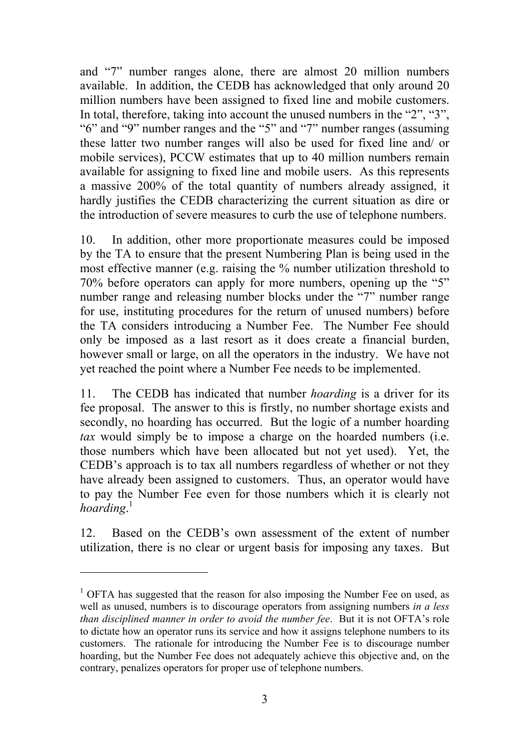and "7" number ranges alone, there are almost 20 million numbers available. In addition, the CEDB has acknowledged that only around 20 million numbers have been assigned to fixed line and mobile customers. In total, therefore, taking into account the unused numbers in the "2", "3", "6" and "9" number ranges and the "5" and "7" number ranges (assuming these latter two number ranges will also be used for fixed line and/ or mobile services), PCCW estimates that up to 40 million numbers remain available for assigning to fixed line and mobile users. As this represents a massive 200% of the total quantity of numbers already assigned, it hardly justifies the CEDB characterizing the current situation as dire or the introduction of severe measures to curb the use of telephone numbers.

10. In addition, other more proportionate measures could be imposed by the TA to ensure that the present Numbering Plan is being used in the most effective manner (e.g. raising the % number utilization threshold to 70% before operators can apply for more numbers, opening up the "5" number range and releasing number blocks under the "7" number range for use, instituting procedures for the return of unused numbers) before the TA considers introducing a Number Fee. The Number Fee should only be imposed as a last resort as it does create a financial burden, however small or large, on all the operators in the industry. We have not yet reached the point where a Number Fee needs to be implemented.

11. The CEDB has indicated that number *hoarding* is a driver for its fee proposal. The answer to this is firstly, no number shortage exists and secondly, no hoarding has occurred. But the logic of a number hoarding *tax* would simply be to impose a charge on the hoarded numbers (i.e. those numbers which have been allocated but not yet used). Yet, the CEDB's approach is to tax all numbers regardless of whether or not they have already been assigned to customers. Thus, an operator would have to pay the Number Fee even for those numbers which it is clearly not *hoarding*. [1](#page-2-0)

12. Based on the CEDB's own assessment of the extent of number utilization, there is no clear or urgent basis for imposing any taxes. But

 $\overline{a}$ 

<span id="page-2-0"></span><sup>&</sup>lt;sup>1</sup> OFTA has suggested that the reason for also imposing the Number Fee on used, as well as unused, numbers is to discourage operators from assigning numbers *in a less than disciplined manner in order to avoid the number fee*. But it is not OFTA's role to dictate how an operator runs its service and how it assigns telephone numbers to its customers. The rationale for introducing the Number Fee is to discourage number hoarding, but the Number Fee does not adequately achieve this objective and, on the contrary, penalizes operators for proper use of telephone numbers.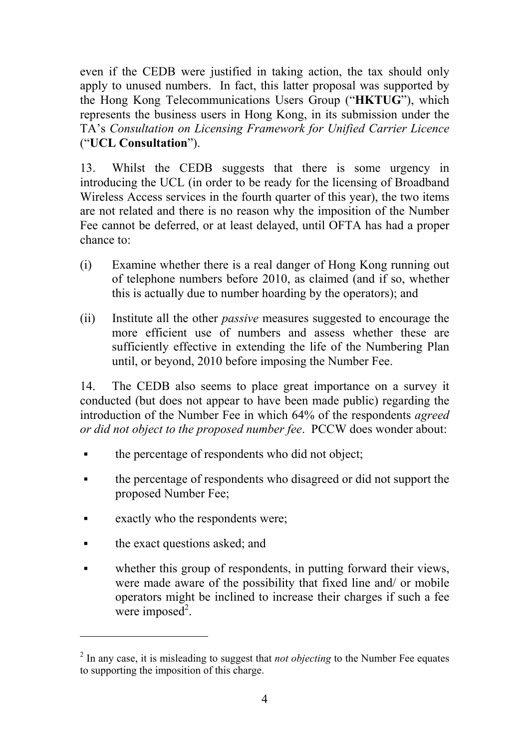even if the CEDB were justified in taking action, the tax should only apply to unused numbers. In fact, this latter proposal was supported by the Hong Kong Telecommunications Users Group ("**HKTUG**"), which represents the business users in Hong Kong, in its submission under the TA's *Consultation on Licensing Framework for Unified Carrier Licence* ("**UCL Consultation**").

13. Whilst the CEDB suggests that there is some urgency in introducing the UCL (in order to be ready for the licensing of Broadband Wireless Access services in the fourth quarter of this year), the two items are not related and there is no reason why the imposition of the Number Fee cannot be deferred, or at least delayed, until OFTA has had a proper chance to:

- (i) Examine whether there is a real danger of Hong Kong running out of telephone numbers before 2010, as claimed (and if so, whether this is actually due to number hoarding by the operators); and
- (ii) Institute all the other *passive* measures suggested to encourage the more efficient use of numbers and assess whether these are sufficiently effective in extending the life of the Numbering Plan until, or beyond, 2010 before imposing the Number Fee.

14. The CEDB also seems to place great importance on a survey it conducted (but does not appear to have been made public) regarding the introduction of the Number Fee in which 64% of the respondents *agreed or did not object to the proposed number fee*. PCCW does wonder about:

- the percentage of respondents who did not object;
- the percentage of respondents who disagreed or did not support the proposed Number Fee;
- **Exactly who the respondents were;**
- the exact questions asked; and

 $\overline{a}$ 

whether this group of respondents, in putting forward their views, were made aware of the possibility that fixed line and/ or mobile operators might be inclined to increase their charges if such a fee were imposed<sup>[2](#page-3-0)</sup>.

<span id="page-3-0"></span><sup>&</sup>lt;sup>2</sup> In any case, it is misleading to suggest that *not objecting* to the Number Fee equates to supporting the imposition of this charge.